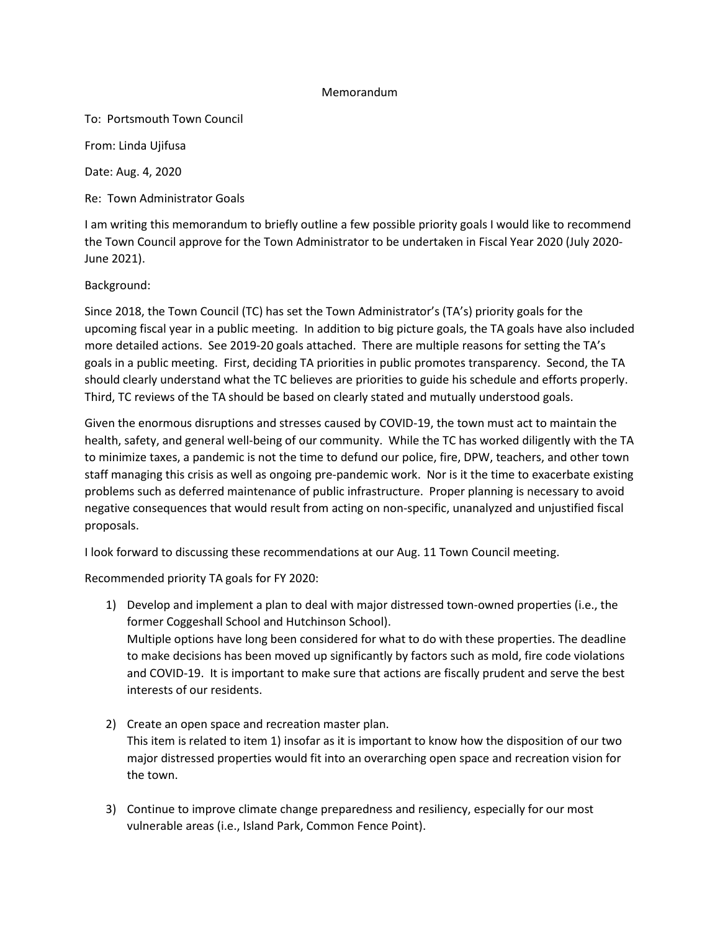## Memorandum

To: Portsmouth Town Council

From: Linda Ujifusa

Date: Aug. 4, 2020

Re: Town Administrator Goals

I am writing this memorandum to briefly outline a few possible priority goals I would like to recommend the Town Council approve for the Town Administrator to be undertaken in Fiscal Year 2020 (July 2020- June 2021).

Background:

Since 2018, the Town Council (TC) has set the Town Administrator's (TA's) priority goals for the upcoming fiscal year in a public meeting. In addition to big picture goals, the TA goals have also included more detailed actions. See 2019-20 goals attached. There are multiple reasons for setting the TA's goals in a public meeting. First, deciding TA priorities in public promotes transparency. Second, the TA should clearly understand what the TC believes are priorities to guide his schedule and efforts properly. Third, TC reviews of the TA should be based on clearly stated and mutually understood goals.

Given the enormous disruptions and stresses caused by COVID-19, the town must act to maintain the health, safety, and general well-being of our community. While the TC has worked diligently with the TA to minimize taxes, a pandemic is not the time to defund our police, fire, DPW, teachers, and other town staff managing this crisis as well as ongoing pre-pandemic work. Nor is it the time to exacerbate existing problems such as deferred maintenance of public infrastructure. Proper planning is necessary to avoid negative consequences that would result from acting on non-specific, unanalyzed and unjustified fiscal proposals.

I look forward to discussing these recommendations at our Aug. 11 Town Council meeting.

Recommended priority TA goals for FY 2020:

- 1) Develop and implement a plan to deal with major distressed town-owned properties (i.e., the former Coggeshall School and Hutchinson School). Multiple options have long been considered for what to do with these properties. The deadline to make decisions has been moved up significantly by factors such as mold, fire code violations and COVID-19. It is important to make sure that actions are fiscally prudent and serve the best interests of our residents.
- 2) Create an open space and recreation master plan. This item is related to item 1) insofar as it is important to know how the disposition of our two major distressed properties would fit into an overarching open space and recreation vision for the town.
- 3) Continue to improve climate change preparedness and resiliency, especially for our most vulnerable areas (i.e., Island Park, Common Fence Point).